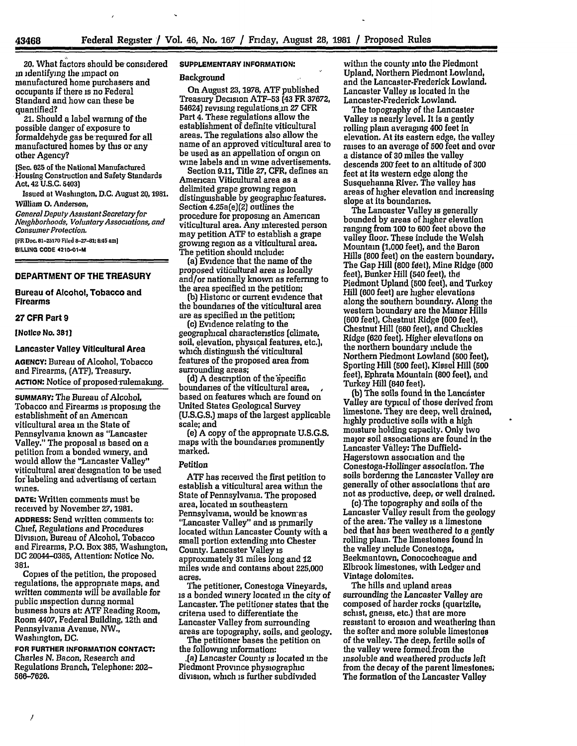20. What factors should be- considered in identifying the impact on manufactured home purchasers and occupants if there is no Federal Standard and how can these be quantified?

21. Should a label warning of the possible danger of exposure to formaldehyde gas be required for all manufactured homes **by** this or any other Agency?

(Sec. **625** of the National Manufactured Housing Construction and Safety Standards Act, 42 **U.S.C.** 5403)

Issued at Washington, **D.C.** August **20,1981. William** *0.* Anderson,

*General DeputyAssistant Secretary for Neghborhoods, VoluntaryAssociations, and Consumer Protection.*

**(FR Doc. 81-25170** Filed **8-27-81; 8:45 am] BILULNG CODE 4210-1-M**

## **DEPARTMENT OF THE TREASURY**

**Bureau of Alcohol, Tobacco and Firearms**

#### **27 CFR Part 9**

**[Notice No. 381]**

### **Lancaster** Valley Viticultural **Area**

**AGENCY:** Bureau **of** Alcohol, Tobacco and Firearms, **(ATF),** Treasury. **ACTION:** Notice of proposed rulemaking.

**SUMMARY: The Bureau** of Alcohol, Tobacco and Firearms is proposing the establishment of an American viticultural area in the State of Pennsylvania known as "Lancaster Valley." The proposal is based on a petition from a bonded winery, and would allow the "Lancaster Valley" viticultural area' designation to be used for labeling and advertising of certain wines.

**DATE:** Written comments must be received **by** November **27, 1981.**

**ADDRESS:** Send written comments to: Chief, Regulations and Procedures Division, Bureau of Alcohol, Tobacco and Firearms, P.O. Box **385,** Washington, **DC** 20044-0385, Attention: Notice No. **381.**

Copies of the petition, the proposed regulations, the appropriate maps, and written comments will be available for public inspection during normal business hours at: **ATF** Reading Room, Room 4407, Federal Building, 12th and Pennsylvania Avenue, NW., Washington, **DC.**

**FOR** FURTHER INFORMATION **CONTACT:** Charles **N.** Bacon, Research and Regulations Branch, Telephone: 202- **566-7626.**

### **SUPPLEMENTARY INFORMATION:**

#### **Background**

On August **23,1978, ATF** published Treasury Decision **ATF-53** (43 FR **37672,** 54624) revising regulations-in **27** CFR Part 4. These regulations allow the establishment of definite viticultural areas. The regulations also allow the name of an approved viticultural area to be used as an appellation of origin on wine labels and **in** wine advertisements.

Section **9.11,** Title **27,** CFR, defines an American Viticultural area as a delimited grape growing region distinguishable **by** geographicfeatures. Section 4.25a(e)(2) outlines the procedure for proposing an American viticultural area. Any interested person may petition **ATF** to establish a grape growing region as a viticultural area. The petition should include:

(a) Evidence that the name of the proposed viticultural area is locally and/or nationally known as referring to the area specified in the petition;

**(b)** Historic or current evidence that the boundaries of the viticultural area are as specified in the petition;

(c) Evidence relating to the geographical characteristics (climate, soil, elevation, physical features, etc.), which distinguish the viticultural features of the proposed area from surrounding areas;

**(d) A** description of the'specific boundaries of the viticultural area, based on features which are found on United States Geological Survey **(U.S.G.Sj** maps of the largest applicable scale; and

(e) **A** copy of the appropriate **U.S.G.S.** maps with the boundaries prominently marked.

## Petition

**ATF** has received the first petition to establish a viticultural area within the State of Pennsylvama. The proposed area, located **in** southeastern Pennsylvania, would be known~as "Lancaster Valley" and is primarily located within Lancaster County with a small portion extending into Chester County. Lancaster Valley is approximately **31** miles long and 12 miles wide and contains about **225,000** acres.

The petitioner, Conestoga Vineyards, is a bonded winery located in the city **of** Lancaster. The petitioner states that the criteria used to differentiate the Lancaster Valley from surrounding areas are topography, soils, and geology. The petitioner bases the petition on

the following information:

.(a) Lancaster County is located in the Piedmont Province physiographic division, which is further subdivided

within the county into the Piedmont Upland, Northern Piedmont Lowland, and the Lancaster-Frederick Lowland. Lancaster Valley is located in the Lancaster-Frederick Lowland.

The topography of the Lancaster Valley is nearly level. It is a gently rolling plain averaging 400 feet in elevation. At its eastern edge, the valley raises to an average of **500** feet and over a distance of **30** miles the valley descends 200 feet to an altitude of **300** feet at its western edge along the Susquehanna River. The valley has areas of higher elevation and increasing slope at its boundaries.

The Lancaster Valley is generally bounded **by** areas of higher elevation ranging from 100 to **600** feet above the valley floor. These include the Welsh Mountain (1,000 feet), and the Baron Hills (800 feet) on the eastern boundary. The Gap Hill (800 fdet), Mine Ridge **(800** feet), Bunker Hill (540 feet), the Piedmont Upland **(500** feet), and Turkey Hill (600 feet) are higher elevations along the southern boundary. Along the western boundary are the Manor Hills **(600** feet), Chestnut Ridge **(600** feet, Chestnut Hill **(660** feet), and Chickies Ridge (620 feet). Higher elevations on the northern boundary include the Northern Piedmont Lowland (500 feet), Sporting Hill **(500** feet), Kissel Hill **(600** feet), Ephrata Mountain (800 feet), and Turkey Hill (840 feet).

**(b)** The soils found in the Lancdster Valley are typical of those derived from limestone. They are deep, well drained, **highly** productive soils with a **high** moisture holding capacity. Only two major soil associations are found in the Lancaster Valley: The Duffield-Hagerstown association and the Conestoga-Hollinger association. The soils bordering the Lancaster Valley are generally of other associations that are not as productive, deep, or well drained.

(c) The topography and soils of the Lancaster Valley result from the geology of the area. The valley is a limestone bed that has been weathered to a gently rolling plain. The limestones found in the valley include Conestoga, Beekmantown, Conococheague and Elbrook limestones, with Ledger and Vintage dolomites.

The hills and upland areas surrounding the Lancaster **Valley** are composed of harder rocks (quartzite, schist, gneiss, etc.) that are more resistant to erosion and weathering than the softer and more soluble limestones of the valley. The deep, fertile soils of the valley were formed from the insoluble and weathered products left from the decay of the parent limestones; The formation of the Lancaster Valley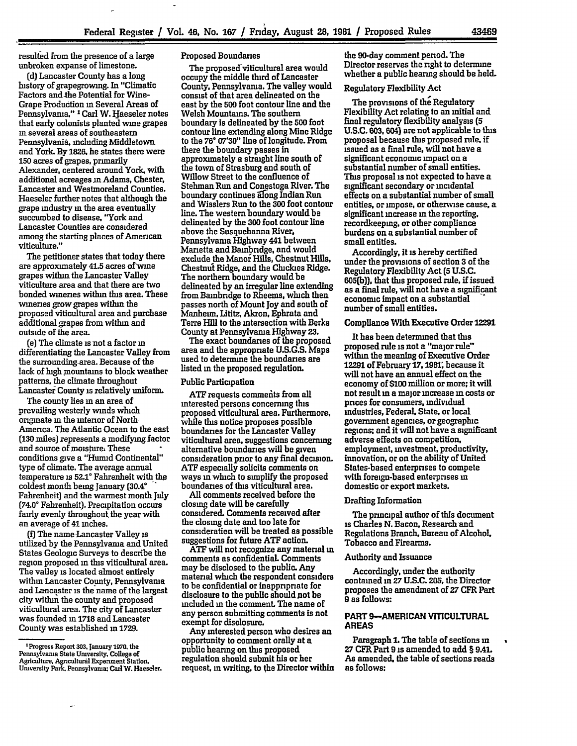resulted from the presence of a large unbroken expanse of limestone.

**(d)** Lancaster County has a long history of grapegrowing. In "Climatic Factors and-the Potential for Wine-Grape Production **in** Several Areas of Pennsylvania," **1** Carl W. Haeseler notes that early colonists planted wine grapes m several areas of southeastern Pennsylvania, including Middletown and York. By 1826, he states there were **150** acres of grapes, primarily Alexander, centered around York. with additional acreages in Adams, Chester, Lancaster and Westmoreland Counties. Haeseler further notes that although the grape industry in the area eventually succumbed to disease, "York and Lancaster Counties are considered among the starting places of American viticulture."

The petitioner states that today there are approximately 41.5 acres of wine grapes within the Lancaster Valley viticulture area and that there are two bonded wineries within this area. These wineries grow grapes within the proposed viticultural area and purchase additional grapes from within and outside of the area.

(e) The climate is not a factor **in** differentiating the Lancaster Valley from the surrounding area. Because of the lack of high mountains to block weather patterns, the climate throughout Lancaster County is relatively uniform.

The county lies **in** an area of prevailing westerly winds which originate **in** the mtenor of North America. The Atlantic Ocean to the east **(130** miles) represents a modifying factor and source of moisture, These conditions give a "Humid Continental" type of climate. The average annual temperature is **52.1'** Fahrenheit with the coldest month being January (30.4° Fahrenheit] and the warmest month July (74.0° Fahrenheit). Precipitation occurs fairly evenly throughout the year with an average of 41 inches.

**(f)** The name Lancaster Valley is utilized **by** the Pennsylvania and United States Geologic Surveys to describe the region proposed **in** this viticultural area. The valley is located almost entirely within Lancaster County, Pennsylvania and Lancaster is the name of the largest city within the county and proposed viticultural area. The city of Lancaster was founded **in 1718** and Lancaster County was established in **1729.**

#### Proposed Boundaries

The proposed viticultural area would occupy the middle third of Lancaster County, Pennsylvania. The valley would consist of that area delineated on the east **by** the **500** foot contour line and the Welsh Mountains. The southern boundary Is delineated by the **500** foot contour line extending along Mine Ridge to the **76 07'30"** line of longitude. From there the boundary passes in approximately a straight line south of the town of Strasburg and south of Willow Street to the confluence of Stehman Run and Conestoga River. The boundary continues along Indian Run and Wisslers Run to the **300** foot contour line. The western boundary would be delineated **by** the **300** foot contour line above the Susquehanna River. Pennsylvania Highway 441 between Marietta and Bainbridge, and would exclude the Manor Hills, Chestnut Hills, Chestnut Ridge, and the Chickies Ridge. The northern boundary would be delineated **by an** irregular line extending from Bainbridge to Rheems, which then passes north of Mount Joy and south of Manheim, Lititz, Akron, Ephrata and Terre Hill to the intersection with Berks County at Pennsylvania Highway **23.**

The exact boundaries of the proposed area and the appropriate U.S.G.S. Maps used to determine the boundaries are listed **in** the proposed regulation.

#### Public Participation

**ATF** requests commeits from all interested persons concerning **tlus** proposed viticultural area. Furthermore, while this notice proposes possible boundaries for the Lancaster Valley viticultural area, suggestions concerning alternative boundaries will be given consideration prior to any final decision. **ATF** especially solicits comments on ways in which to simplify the proposed boundaries of this viticultural area.

**All** comments received before the closing date will be carefully considered. Comments received after the closing date and too late for consideration will be treated as possible suggestions for future **ATF** action.

ATF will not recognize any material in comments as confidential. Comments may be disclosed to the public. Any material which the respondent considers to be confidential or inappripriate for disclosure to the public should not be included **in** the comment. The name of any person submitting comments is not exempt for disclosure.

Any interested person who desires an opportunity to comment orally at **a** public hearing on this proposed regulation should submit his or her request, in writing, to the Director within the 90-day comment period. The Director reserves the right to determine whether a public hearing should be held.

## Regulatory Flexibility Act

The provisions of the Regulatory Flexibility Act relating to an initial and final regulatory flexibility analysis **(5 U.S.C. 603,** 604) are not applicable to this proposal because this proposed rule. **if** issued as a final rule, will not have a significant economic impact on a substantial number of small entities. This proposal is not expected to have a significant secondary or incidental effects on a substantial number of small entities, or impose, or otherwise cause, a significant increase in the reporting, recordkeeping. or other compliance burdens on a substantial number of small entities.

Accordingly, it is hereby certified under the provisions of section **3** of the Regulatory Flexibility Act **(5 U.S.C. 605(b)),** that this proposed rule, if issued as a final rule, will not have a significant economic impact on a substantial number of small entities.

# Compliance With Executive Order **12291**

It has been determined that this proposed rule is not a "major rule" within the meaning of Executive Order **12291** of February **17.1981;** because it will not have an annual effect on the economy of **\$100** million or more; it will not result **in** a major increase **in** costs or prices for consumers, individual industries, Federal. State. or local government agencies, or geographic regons; and **it** will not have a significant adverse effects on competition. employment, investment, productivity, innovation, or on the ability of United States-based enterprises to compete with foreign-based enterprises in domestic or export markets.

## Drafting Information

The principal author of this document is Charles **N.** Bacon. Research-and Regulations Branch. Bureau of Alcohol, Tobacco and Firearms.

## Authority and Issuance

Accordingly, under the authority contained **in 27 U.S.C.** 205, the Director proposes the amendment of **27** CFR Part **9** as follows:

## **PART 9-AMERICAN VITICULTURAL AREAS**

Paragraph **1.** The table of sections **in 27** CFR Part **9** is amended to add **§ 9.41.** As amended, the table of sections reads as **follows:**

<sup>&#</sup>x27;Progress Report **303,** lenuary **1970,** the Pennsylvania State University. College of Agriculture, Agriculiural Experiment Station. University Park. Pennsylvania: **CariW.** Haeseler.